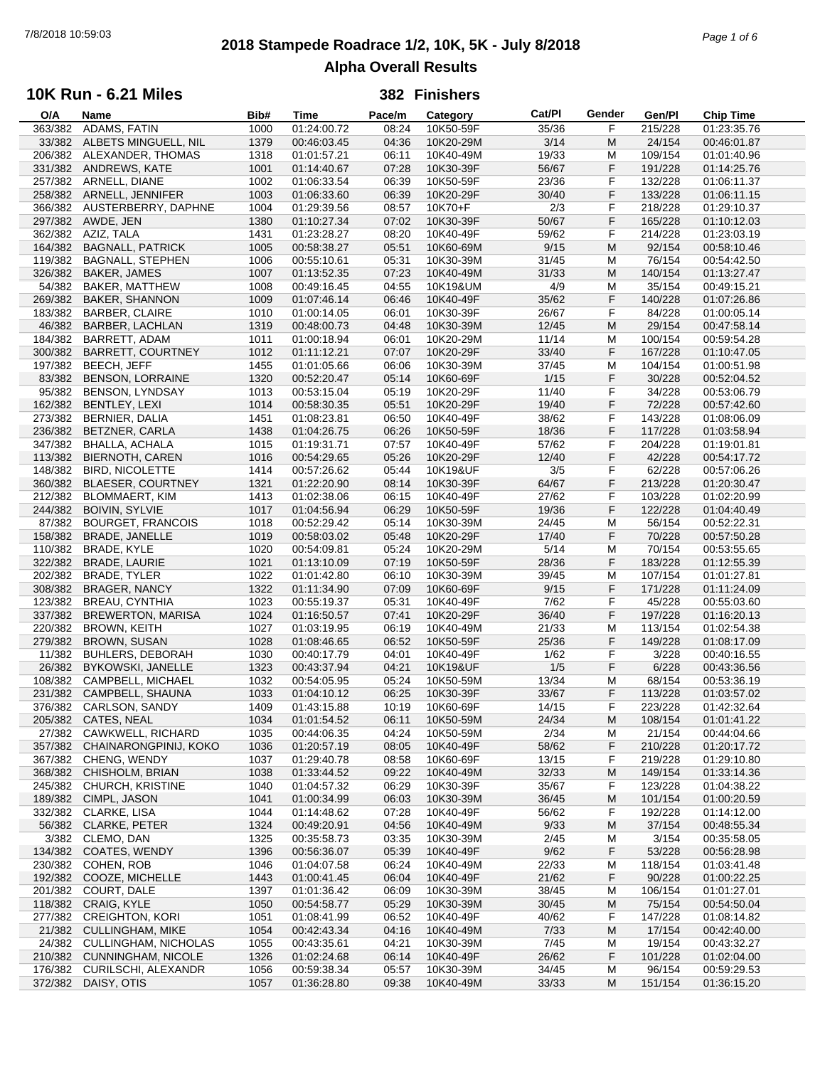# **2018 Stampede Roadrace 1/2, 10K, 5K - July 8/2018** 7/8/2018 10:59:03 *Page 1 of 6* **Alpha Overall Results**

## **10K Run - 6.21 Miles**

| O/A     | Name                        | Bib# | Time        | Pace/m | Category  | Cat/Pl | Gender | Gen/Pl  | <b>Chip Time</b> |
|---------|-----------------------------|------|-------------|--------|-----------|--------|--------|---------|------------------|
| 363/382 | ADAMS, FATIN                | 1000 | 01:24:00.72 | 08:24  | 10K50-59F | 35/36  | F      | 215/228 | 01:23:35.76      |
|         | 33/382 ALBETS MINGUELL, NIL | 1379 | 00:46:03.45 | 04:36  | 10K20-29M | 3/14   | M      | 24/154  | 00:46:01.87      |
| 206/382 | ALEXANDER, THOMAS           | 1318 | 01:01:57.21 | 06:11  | 10K40-49M | 19/33  | M      | 109/154 | 01:01:40.96      |
| 331/382 | ANDREWS, KATE               | 1001 | 01:14:40.67 | 07:28  | 10K30-39F | 56/67  | F      | 191/228 | 01:14:25.76      |
| 257/382 | ARNELL, DIANE               | 1002 | 01:06:33.54 | 06:39  | 10K50-59F | 23/36  | F      | 132/228 | 01:06:11.37      |
|         |                             |      |             |        |           |        |        |         |                  |
| 258/382 | ARNELL, JENNIFER            | 1003 | 01:06:33.60 | 06:39  | 10K20-29F | 30/40  | F      | 133/228 | 01:06:11.15      |
| 366/382 | AUSTERBERRY, DAPHNE         | 1004 | 01:29:39.56 | 08:57  | 10K70+F   | 2/3    | F      | 218/228 | 01:29:10.37      |
|         | 297/382 AWDE, JEN           | 1380 | 01:10:27.34 | 07:02  | 10K30-39F | 50/67  | F      | 165/228 | 01:10:12.03      |
| 362/382 | AZIZ, TALA                  | 1431 | 01:23:28.27 | 08:20  | 10K40-49F | 59/62  | F      | 214/228 | 01:23:03.19      |
| 164/382 | <b>BAGNALL, PATRICK</b>     | 1005 | 00:58:38.27 | 05:51  | 10K60-69M | 9/15   | M      | 92/154  | 00:58:10.46      |
| 119/382 | <b>BAGNALL, STEPHEN</b>     | 1006 | 00:55:10.61 | 05:31  | 10K30-39M | 31/45  | М      | 76/154  | 00:54:42.50      |
| 326/382 | <b>BAKER, JAMES</b>         | 1007 | 01:13:52.35 | 07:23  | 10K40-49M | 31/33  | M      | 140/154 | 01:13:27.47      |
| 54/382  | <b>BAKER, MATTHEW</b>       | 1008 | 00:49:16.45 | 04:55  | 10K19&UM  | 4/9    | M      | 35/154  | 00:49:15.21      |
| 269/382 | <b>BAKER, SHANNON</b>       | 1009 | 01:07:46.14 | 06:46  | 10K40-49F | 35/62  | F      | 140/228 | 01:07:26.86      |
|         |                             |      |             |        |           |        |        |         |                  |
| 183/382 | <b>BARBER, CLAIRE</b>       | 1010 | 01:00:14.05 | 06:01  | 10K30-39F | 26/67  | F      | 84/228  | 01:00:05.14      |
| 46/382  | <b>BARBER, LACHLAN</b>      | 1319 | 00:48:00.73 | 04:48  | 10K30-39M | 12/45  | M      | 29/154  | 00:47:58.14      |
| 184/382 | <b>BARRETT, ADAM</b>        | 1011 | 01:00:18.94 | 06:01  | 10K20-29M | 11/14  | M      | 100/154 | 00:59:54.28      |
| 300/382 | <b>BARRETT, COURTNEY</b>    | 1012 | 01:11:12.21 | 07:07  | 10K20-29F | 33/40  | F      | 167/228 | 01:10:47.05      |
| 197/382 | <b>BEECH, JEFF</b>          | 1455 | 01:01:05.66 | 06:06  | 10K30-39M | 37/45  | M      | 104/154 | 01:00:51.98      |
| 83/382  | <b>BENSON, LORRAINE</b>     | 1320 | 00:52:20.47 | 05:14  | 10K60-69F | 1/15   | F      | 30/228  | 00:52:04.52      |
| 95/382  | <b>BENSON, LYNDSAY</b>      | 1013 | 00:53:15.04 | 05:19  | 10K20-29F | 11/40  | F      | 34/228  | 00:53:06.79      |
| 162/382 | BENTLEY, LEXI               | 1014 | 00:58:30.35 | 05:51  | 10K20-29F | 19/40  | F      | 72/228  | 00:57:42.60      |
| 273/382 | BERNIER, DALIA              | 1451 | 01:08:23.81 | 06:50  | 10K40-49F | 38/62  | F      | 143/228 | 01:08:06.09      |
|         |                             |      |             |        |           |        |        |         |                  |
| 236/382 | BETZNER, CARLA              | 1438 | 01:04:26.75 | 06:26  | 10K50-59F | 18/36  | F      | 117/228 | 01:03:58.94      |
| 347/382 | <b>BHALLA, ACHALA</b>       | 1015 | 01:19:31.71 | 07:57  | 10K40-49F | 57/62  | F      | 204/228 | 01:19:01.81      |
| 113/382 | <b>BIERNOTH, CAREN</b>      | 1016 | 00:54:29.65 | 05:26  | 10K20-29F | 12/40  | F      | 42/228  | 00:54:17.72      |
| 148/382 | <b>BIRD, NICOLETTE</b>      | 1414 | 00:57:26.62 | 05:44  | 10K19&UF  | 3/5    | F      | 62/228  | 00:57:06.26      |
| 360/382 | <b>BLAESER, COURTNEY</b>    | 1321 | 01:22:20.90 | 08:14  | 10K30-39F | 64/67  | F      | 213/228 | 01:20:30.47      |
| 212/382 | <b>BLOMMAERT, KIM</b>       | 1413 | 01:02:38.06 | 06:15  | 10K40-49F | 27/62  | F      | 103/228 | 01:02:20.99      |
| 244/382 | <b>BOIVIN, SYLVIE</b>       | 1017 | 01:04:56.94 | 06:29  | 10K50-59F | 19/36  | F      | 122/228 | 01:04:40.49      |
| 87/382  | <b>BOURGET, FRANCOIS</b>    | 1018 | 00:52:29.42 | 05:14  | 10K30-39M | 24/45  | M      | 56/154  | 00:52:22.31      |
|         |                             |      |             |        |           |        | F      |         |                  |
| 158/382 | <b>BRADE, JANELLE</b>       | 1019 | 00:58:03.02 | 05:48  | 10K20-29F | 17/40  |        | 70/228  | 00:57:50.28      |
| 110/382 | BRADE, KYLE                 | 1020 | 00:54:09.81 | 05:24  | 10K20-29M | 5/14   | M      | 70/154  | 00:53:55.65      |
| 322/382 | <b>BRADE, LAURIE</b>        | 1021 | 01:13:10.09 | 07:19  | 10K50-59F | 28/36  | F      | 183/228 | 01:12:55.39      |
| 202/382 | BRADE, TYLER                | 1022 | 01:01:42.80 | 06:10  | 10K30-39M | 39/45  | M      | 107/154 | 01:01:27.81      |
| 308/382 | <b>BRAGER, NANCY</b>        | 1322 | 01:11:34.90 | 07:09  | 10K60-69F | 9/15   | F      | 171/228 | 01:11:24.09      |
| 123/382 | <b>BREAU, CYNTHIA</b>       | 1023 | 00:55:19.37 | 05:31  | 10K40-49F | 7/62   | F      | 45/228  | 00:55:03.60      |
| 337/382 | <b>BREWERTON, MARISA</b>    | 1024 | 01:16:50.57 | 07:41  | 10K20-29F | 36/40  | F      | 197/228 | 01:16:20.13      |
| 220/382 | <b>BROWN, KEITH</b>         | 1027 | 01:03:19.95 | 06:19  | 10K40-49M | 21/33  | M      | 113/154 | 01:02:54.38      |
| 279/382 | <b>BROWN, SUSAN</b>         | 1028 | 01:08:46.65 | 06:52  | 10K50-59F | 25/36  | F      | 149/228 | 01:08:17.09      |
| 11/382  | <b>BUHLERS, DEBORAH</b>     | 1030 | 00:40:17.79 | 04:01  | 10K40-49F | 1/62   | F      | 3/228   | 00:40:16.55      |
| 26/382  | BYKOWSKI, JANELLE           | 1323 | 00:43:37.94 | 04:21  | 10K19&UF  | 1/5    | F      | 6/228   | 00:43:36.56      |
| 108/382 | CAMPBELL, MICHAEL           |      |             |        |           |        |        |         |                  |
|         |                             | 1032 | 00:54:05.95 | 05:24  | 10K50-59M | 13/34  | М      | 68/154  | 00:53:36.19      |
| 231/382 | CAMPBELL, SHAUNA            | 1033 | 01:04:10.12 | 06:25  | 10K30-39F | 33/67  | F      | 113/228 | 01:03:57.02      |
|         | 376/382 CARLSON, SANDY      | 1409 | 01:43:15.88 | 10:19  | 10K60-69F | 14/15  | F      | 223/228 | 01:42:32.64      |
| 205/382 | CATES, NEAL                 | 1034 | 01:01:54.52 | 06:11  | 10K50-59M | 24/34  | M      | 108/154 | 01:01:41.22      |
| 27/382  | CAWKWELL, RICHARD           | 1035 | 00:44:06.35 | 04:24  | 10K50-59M | 2/34   | M      | 21/154  | 00:44:04.66      |
| 357/382 | CHAINARONGPINIJ, KOKO       | 1036 | 01:20:57.19 | 08:05  | 10K40-49F | 58/62  | F      | 210/228 | 01:20:17.72      |
| 367/382 | CHENG, WENDY                | 1037 | 01:29:40.78 | 08:58  | 10K60-69F | 13/15  | F      | 219/228 | 01:29:10.80      |
| 368/382 | CHISHOLM, BRIAN             | 1038 | 01:33:44.52 | 09:22  | 10K40-49M | 32/33  | M      | 149/154 | 01:33:14.36      |
| 245/382 | CHURCH, KRISTINE            | 1040 | 01:04:57.32 | 06:29  | 10K30-39F | 35/67  | F      | 123/228 | 01:04:38.22      |
| 189/382 | CIMPL, JASON                | 1041 | 01:00:34.99 | 06:03  | 10K30-39M | 36/45  | M      | 101/154 | 01:00:20.59      |
| 332/382 | CLARKE, LISA                |      |             | 07:28  | 10K40-49F | 56/62  | F      | 192/228 |                  |
|         |                             | 1044 | 01:14:48.62 |        |           |        |        |         | 01:14:12.00      |
| 56/382  | <b>CLARKE, PETER</b>        | 1324 | 00:49:20.91 | 04:56  | 10K40-49M | 9/33   | M      | 37/154  | 00:48:55.34      |
| 3/382   | CLEMO, DAN                  | 1325 | 00:35:58.73 | 03:35  | 10K30-39M | 2/45   | M      | 3/154   | 00:35:58.05      |
| 134/382 | COATES, WENDY               | 1396 | 00:56:36.07 | 05:39  | 10K40-49F | 9/62   | F      | 53/228  | 00:56:28.98      |
| 230/382 | COHEN, ROB                  | 1046 | 01:04:07.58 | 06:24  | 10K40-49M | 22/33  | M      | 118/154 | 01:03:41.48      |
| 192/382 | COOZE, MICHELLE             | 1443 | 01:00:41.45 | 06:04  | 10K40-49F | 21/62  | F      | 90/228  | 01:00:22.25      |
| 201/382 | COURT, DALE                 | 1397 | 01:01:36.42 | 06:09  | 10K30-39M | 38/45  | M      | 106/154 | 01:01:27.01      |
| 118/382 | CRAIG, KYLE                 | 1050 | 00:54:58.77 | 05:29  | 10K30-39M | 30/45  | M      | 75/154  | 00:54:50.04      |
| 277/382 | <b>CREIGHTON, KORI</b>      | 1051 | 01:08:41.99 | 06:52  | 10K40-49F | 40/62  | F      | 147/228 | 01:08:14.82      |
| 21/382  | <b>CULLINGHAM, MIKE</b>     | 1054 | 00:42:43.34 | 04:16  | 10K40-49M | 7/33   | M      | 17/154  | 00:42:40.00      |
| 24/382  | CULLINGHAM, NICHOLAS        | 1055 | 00:43:35.61 | 04:21  | 10K30-39M | 7/45   | M      | 19/154  | 00:43:32.27      |
| 210/382 | <b>CUNNINGHAM, NICOLE</b>   | 1326 | 01:02:24.68 | 06:14  | 10K40-49F | 26/62  | F      | 101/228 | 01:02:04.00      |
|         |                             |      |             |        |           |        |        |         |                  |
| 176/382 | CURILSCHI, ALEXANDR         | 1056 | 00:59:38.34 | 05:57  | 10K30-39M | 34/45  | M      | 96/154  | 00:59:29.53      |
|         | 372/382 DAISY, OTIS         | 1057 | 01:36:28.80 | 09:38  | 10K40-49M | 33/33  | M      | 151/154 | 01:36:15.20      |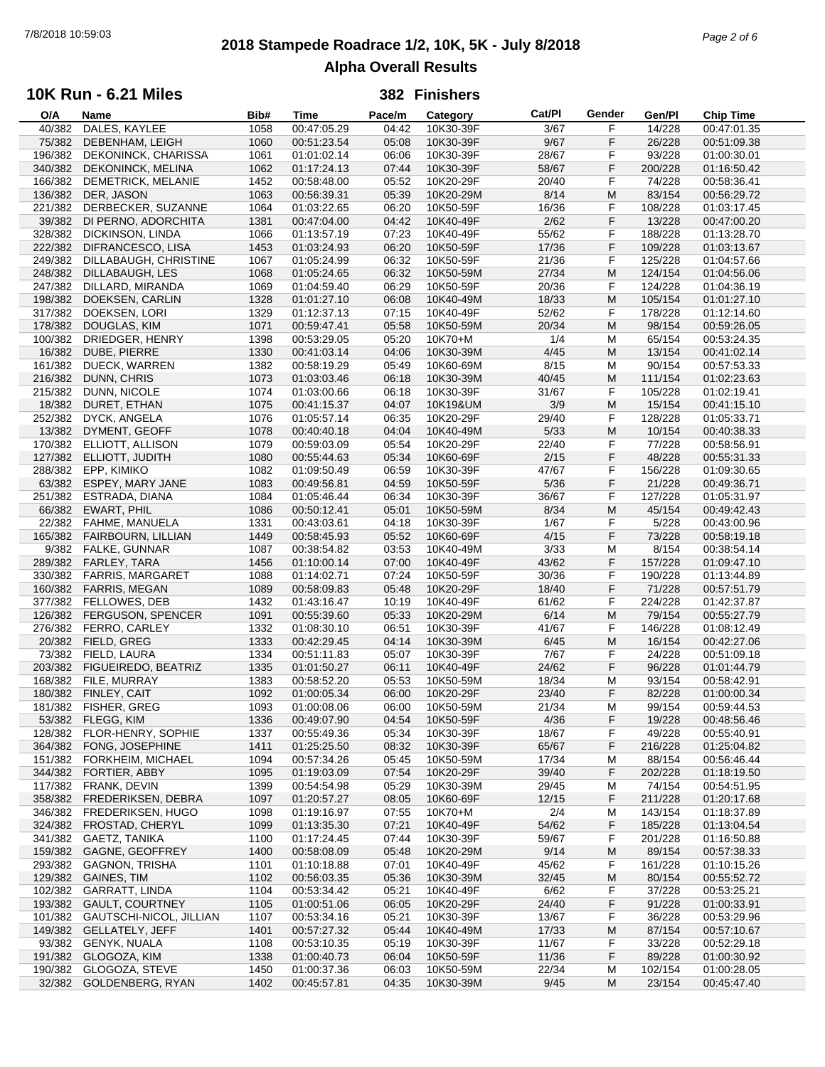# **2018 Stampede Roadrace 1/2, 10K, 5K - July 8/2018** 7/8/2018 10:59:03 *Page 2 of 6* **Alpha Overall Results**

## **10K Run - 6.21 Miles**

| O/A     | Name                       | Bib# | Time        | Pace/m | Category  | Cat/Pl | Gender | Gen/Pl  | <b>Chip Time</b> |  |
|---------|----------------------------|------|-------------|--------|-----------|--------|--------|---------|------------------|--|
| 40/382  | DALES, KAYLEE              | 1058 | 00:47:05.29 | 04:42  | 10K30-39F | 3/67   | F      | 14/228  | 00:47:01.35      |  |
| 75/382  | DEBENHAM, LEIGH            | 1060 | 00:51:23.54 | 05:08  | 10K30-39F | 9/67   | F      | 26/228  | 00:51:09.38      |  |
| 196/382 | DEKONINCK, CHARISSA        | 1061 | 01:01:02.14 | 06:06  | 10K30-39F | 28/67  | F      | 93/228  | 01:00:30.01      |  |
| 340/382 | DEKONINCK, MELINA          | 1062 | 01:17:24.13 | 07:44  | 10K30-39F | 58/67  | F      | 200/228 | 01:16:50.42      |  |
|         |                            |      |             |        |           |        |        |         |                  |  |
| 166/382 | DEMETRICK, MELANIE         | 1452 | 00:58:48.00 | 05:52  | 10K20-29F | 20/40  | F      | 74/228  | 00:58:36.41      |  |
| 136/382 | DER, JASON                 | 1063 | 00:56:39.31 | 05:39  | 10K20-29M | 8/14   | M      | 83/154  | 00:56:29.72      |  |
| 221/382 | DERBECKER, SUZANNE         | 1064 | 01:03:22.65 | 06:20  | 10K50-59F | 16/36  | F      | 108/228 | 01:03:17.45      |  |
| 39/382  | DI PERNO, ADORCHITA        | 1381 | 00:47:04.00 | 04:42  | 10K40-49F | 2/62   | F      | 13/228  | 00:47:00.20      |  |
| 328/382 | DICKINSON, LINDA           | 1066 | 01:13:57.19 | 07:23  | 10K40-49F | 55/62  | F      | 188/228 | 01:13:28.70      |  |
| 222/382 | DIFRANCESCO, LISA          | 1453 | 01:03:24.93 | 06:20  | 10K50-59F | 17/36  | F      | 109/228 | 01:03:13.67      |  |
|         |                            |      |             | 06:32  |           | 21/36  |        |         |                  |  |
| 249/382 | DILLABAUGH, CHRISTINE      | 1067 | 01:05:24.99 |        | 10K50-59F |        | F      | 125/228 | 01:04:57.66      |  |
| 248/382 | DILLABAUGH, LES            | 1068 | 01:05:24.65 | 06:32  | 10K50-59M | 27/34  | M      | 124/154 | 01:04:56.06      |  |
| 247/382 | DILLARD, MIRANDA           | 1069 | 01:04:59.40 | 06:29  | 10K50-59F | 20/36  | F      | 124/228 | 01:04:36.19      |  |
| 198/382 | DOEKSEN, CARLIN            | 1328 | 01:01:27.10 | 06:08  | 10K40-49M | 18/33  | M      | 105/154 | 01:01:27.10      |  |
| 317/382 | DOEKSEN, LORI              | 1329 | 01:12:37.13 | 07:15  | 10K40-49F | 52/62  | F      | 178/228 | 01:12:14.60      |  |
| 178/382 | DOUGLAS, KIM               | 1071 | 00:59:47.41 | 05:58  | 10K50-59M | 20/34  | M      | 98/154  | 00:59:26.05      |  |
| 100/382 | DRIEDGER, HENRY            | 1398 | 00:53:29.05 | 05:20  | 10K70+M   | 1/4    | М      | 65/154  | 00:53:24.35      |  |
|         |                            |      |             |        |           |        | M      |         |                  |  |
| 16/382  | DUBE, PIERRE               | 1330 | 00:41:03.14 | 04:06  | 10K30-39M | 4/45   |        | 13/154  | 00:41:02.14      |  |
| 161/382 | DUECK, WARREN              | 1382 | 00:58:19.29 | 05:49  | 10K60-69M | 8/15   | M      | 90/154  | 00:57:53.33      |  |
| 216/382 | DUNN, CHRIS                | 1073 | 01:03:03.46 | 06:18  | 10K30-39M | 40/45  | M      | 111/154 | 01:02:23.63      |  |
| 215/382 | DUNN, NICOLE               | 1074 | 01:03:00.66 | 06:18  | 10K30-39F | 31/67  | F      | 105/228 | 01:02:19.41      |  |
| 18/382  | DURET, ETHAN               | 1075 | 00:41:15.37 | 04:07  | 10K19&UM  | 3/9    | M      | 15/154  | 00:41:15.10      |  |
| 252/382 | DYCK, ANGELA               | 1076 | 01:05:57.14 | 06:35  | 10K20-29F | 29/40  | F      | 128/228 | 01:05:33.71      |  |
| 13/382  | DYMENT, GEOFF              | 1078 |             | 04:04  |           |        | M      |         |                  |  |
|         |                            |      | 00:40:40.18 |        | 10K40-49M | 5/33   |        | 10/154  | 00:40:38.33      |  |
| 170/382 | ELLIOTT, ALLISON           | 1079 | 00:59:03.09 | 05:54  | 10K20-29F | 22/40  | F      | 77/228  | 00:58:56.91      |  |
| 127/382 | ELLIOTT, JUDITH            | 1080 | 00:55:44.63 | 05:34  | 10K60-69F | 2/15   | F      | 48/228  | 00:55:31.33      |  |
| 288/382 | EPP, KIMIKO                | 1082 | 01:09:50.49 | 06:59  | 10K30-39F | 47/67  | F      | 156/228 | 01:09:30.65      |  |
| 63/382  | <b>ESPEY, MARY JANE</b>    | 1083 | 00:49:56.81 | 04:59  | 10K50-59F | 5/36   | F      | 21/228  | 00:49:36.71      |  |
| 251/382 | ESTRADA, DIANA             | 1084 | 01:05:46.44 | 06:34  | 10K30-39F | 36/67  | F      | 127/228 | 01:05:31.97      |  |
| 66/382  | EWART, PHIL                | 1086 | 00:50:12.41 | 05:01  | 10K50-59M | 8/34   | M      | 45/154  | 00:49:42.43      |  |
|         | FAHME, MANUELA             |      |             |        |           |        | F      |         |                  |  |
| 22/382  |                            | 1331 | 00:43:03.61 | 04:18  | 10K30-39F | 1/67   |        | 5/228   | 00:43:00.96      |  |
| 165/382 | FAIRBOURN, LILLIAN         | 1449 | 00:58:45.93 | 05:52  | 10K60-69F | 4/15   | F      | 73/228  | 00:58:19.18      |  |
| 9/382   | <b>FALKE, GUNNAR</b>       | 1087 | 00:38:54.82 | 03:53  | 10K40-49M | 3/33   | М      | 8/154   | 00:38:54.14      |  |
| 289/382 | FARLEY, TARA               | 1456 | 01:10:00.14 | 07:00  | 10K40-49F | 43/62  | F      | 157/228 | 01:09:47.10      |  |
| 330/382 | <b>FARRIS, MARGARET</b>    | 1088 | 01:14:02.71 | 07:24  | 10K50-59F | 30/36  | F      | 190/228 | 01:13:44.89      |  |
| 160/382 | <b>FARRIS, MEGAN</b>       | 1089 | 00:58:09.83 | 05:48  | 10K20-29F | 18/40  | F      | 71/228  | 00:57:51.79      |  |
| 377/382 | <b>FELLOWES, DEB</b>       | 1432 | 01:43:16.47 | 10:19  | 10K40-49F | 61/62  | F      | 224/228 | 01:42:37.87      |  |
|         | 126/382 FERGUSON, SPENCER  | 1091 | 00:55:39.60 | 05:33  | 10K20-29M | 6/14   | M      | 79/154  | 00:55:27.79      |  |
|         |                            |      |             |        |           |        |        |         |                  |  |
| 276/382 | FERRO, CARLEY              | 1332 | 01:08:30.10 | 06:51  | 10K30-39F | 41/67  | F      | 146/228 | 01:08:12.49      |  |
| 20/382  | FIELD, GREG                | 1333 | 00:42:29.45 | 04:14  | 10K30-39M | 6/45   | M      | 16/154  | 00:42:27.06      |  |
| 73/382  | FIELD, LAURA               | 1334 | 00:51:11.83 | 05:07  | 10K30-39F | 7/67   | F      | 24/228  | 00:51:09.18      |  |
| 203/382 | FIGUEIREDO, BEATRIZ        | 1335 | 01:01:50.27 | 06:11  | 10K40-49F | 24/62  | F      | 96/228  | 01:01:44.79      |  |
| 168/382 | FILE, MURRAY               | 1383 | 00:58:52.20 | 05:53  | 10K50-59M | 18/34  | M      | 93/154  | 00:58:42.91      |  |
| 180/382 | FINLEY, CAIT               | 1092 | 01:00:05.34 | 06:00  | 10K20-29F | 23/40  | F      | 82/228  | 01:00:00.34      |  |
|         | 181/382 FISHER, GREG       | 1093 | 01:00:08.06 | 06:00  | 10K50-59M | 21/34  | M      | 99/154  | 00:59:44.53      |  |
|         |                            |      |             |        |           |        |        |         |                  |  |
|         | 53/382 FLEGG, KIM          | 1336 | 00:49:07.90 | 04:54  | 10K50-59F | 4/36   | F      | 19/228  | 00:48:56.46      |  |
|         | 128/382 FLOR-HENRY, SOPHIE | 1337 | 00:55:49.36 | 05:34  | 10K30-39F | 18/67  | F      | 49/228  | 00:55:40.91      |  |
| 364/382 | FONG, JOSEPHINE            | 1411 | 01:25:25.50 | 08:32  | 10K30-39F | 65/67  | F      | 216/228 | 01:25:04.82      |  |
| 151/382 | FORKHEIM, MICHAEL          | 1094 | 00:57:34.26 | 05:45  | 10K50-59M | 17/34  | м      | 88/154  | 00:56:46.44      |  |
| 344/382 | FORTIER, ABBY              | 1095 | 01:19:03.09 | 07:54  | 10K20-29F | 39/40  | F      | 202/228 | 01:18:19.50      |  |
|         | 117/382 FRANK, DEVIN       | 1399 | 00:54:54.98 | 05:29  | 10K30-39M | 29/45  | M      | 74/154  | 00:54:51.95      |  |
| 358/382 | FREDERIKSEN, DEBRA         | 1097 | 01:20:57.27 | 08:05  | 10K60-69F | 12/15  | F      | 211/228 | 01:20:17.68      |  |
| 346/382 | FREDERIKSEN, HUGO          |      |             |        | 10K70+M   | 2/4    |        |         | 01:18:37.89      |  |
|         |                            | 1098 | 01:19:16.97 | 07:55  |           |        | м      | 143/154 |                  |  |
| 324/382 | FROSTAD, CHERYL            | 1099 | 01:13:35.30 | 07:21  | 10K40-49F | 54/62  | F      | 185/228 | 01:13:04.54      |  |
| 341/382 | GAETZ, TANIKA              | 1100 | 01:17:24.45 | 07:44  | 10K30-39F | 59/67  | F      | 201/228 | 01:16:50.88      |  |
| 159/382 | GAGNE, GEOFFREY            | 1400 | 00:58:08.09 | 05:48  | 10K20-29M | 9/14   | M      | 89/154  | 00:57:38.33      |  |
| 293/382 | <b>GAGNON, TRISHA</b>      | 1101 | 01:10:18.88 | 07:01  | 10K40-49F | 45/62  | F      | 161/228 | 01:10:15.26      |  |
| 129/382 | <b>GAINES, TIM</b>         | 1102 | 00:56:03.35 | 05:36  | 10K30-39M | 32/45  | M      | 80/154  | 00:55:52.72      |  |
| 102/382 | <b>GARRATT, LINDA</b>      | 1104 | 00:53:34.42 | 05:21  | 10K40-49F | 6/62   | F      | 37/228  | 00:53:25.21      |  |
| 193/382 | <b>GAULT, COURTNEY</b>     | 1105 | 01:00:51.06 | 06:05  | 10K20-29F | 24/40  | F      | 91/228  | 01:00:33.91      |  |
|         |                            |      |             |        |           |        |        |         |                  |  |
| 101/382 | GAUTSCHI-NICOL, JILLIAN    | 1107 | 00:53:34.16 | 05:21  | 10K30-39F | 13/67  | F      | 36/228  | 00:53:29.96      |  |
| 149/382 | <b>GELLATELY, JEFF</b>     | 1401 | 00:57:27.32 | 05:44  | 10K40-49M | 17/33  | M      | 87/154  | 00:57:10.67      |  |
| 93/382  | <b>GENYK, NUALA</b>        | 1108 | 00:53:10.35 | 05:19  | 10K30-39F | 11/67  | F      | 33/228  | 00:52:29.18      |  |
| 191/382 | GLOGOZA, KIM               | 1338 | 01:00:40.73 | 06:04  | 10K50-59F | 11/36  | F      | 89/228  | 01:00:30.92      |  |
| 190/382 | GLOGOZA, STEVE             | 1450 | 01:00:37.36 | 06:03  | 10K50-59M | 22/34  | M      | 102/154 | 01:00:28.05      |  |
|         | 32/382 GOLDENBERG, RYAN    | 1402 | 00:45:57.81 | 04:35  | 10K30-39M | 9/45   | M      | 23/154  | 00:45:47.40      |  |
|         |                            |      |             |        |           |        |        |         |                  |  |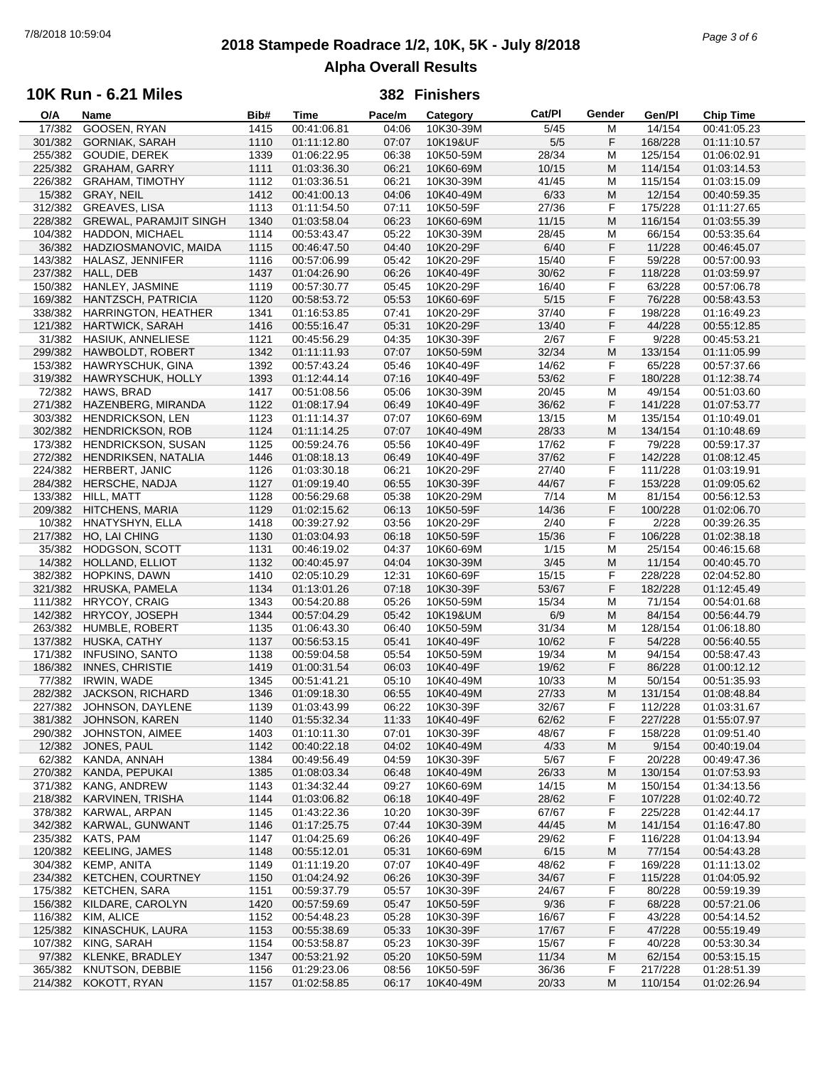# **2018 Stampede Roadrace 1/2, 10K, 5K - July 8/2018** 7/8/2018 10:59:04 *Page 3 of 6* **Alpha Overall Results**

### **10K Run - 6.21 Miles**

| O/A     | Name                          | Bib# | Time        | Pace/m | Category  | Cat/PI | Gender | Gen/Pl  | <b>Chip Time</b> |
|---------|-------------------------------|------|-------------|--------|-----------|--------|--------|---------|------------------|
| 17/382  | GOOSEN, RYAN                  | 1415 | 00:41:06.81 | 04:06  | 10K30-39M | 5/45   | М      | 14/154  | 00:41:05.23      |
| 301/382 | <b>GORNIAK, SARAH</b>         | 1110 | 01:11:12.80 | 07:07  | 10K19&UF  | 5/5    | F      | 168/228 | 01:11:10.57      |
| 255/382 | GOUDIE, DEREK                 | 1339 | 01:06:22.95 | 06:38  | 10K50-59M | 28/34  | М      | 125/154 | 01:06:02.91      |
|         |                               |      |             |        |           |        |        |         |                  |
| 225/382 | <b>GRAHAM, GARRY</b>          | 1111 | 01:03:36.30 | 06:21  | 10K60-69M | 10/15  | M      | 114/154 | 01:03:14.53      |
| 226/382 | <b>GRAHAM, TIMOTHY</b>        | 1112 | 01:03:36.51 | 06:21  | 10K30-39M | 41/45  | М      | 115/154 | 01:03:15.09      |
| 15/382  | GRAY, NEIL                    | 1412 | 00:41:00.13 | 04:06  | 10K40-49M | 6/33   | M      | 12/154  | 00:40:59.35      |
| 312/382 | <b>GREAVES, LISA</b>          | 1113 | 01:11:54.50 | 07:11  | 10K50-59F | 27/36  | F      | 175/228 | 01:11:27.65      |
| 228/382 | <b>GREWAL, PARAMJIT SINGH</b> | 1340 | 01:03:58.04 | 06:23  | 10K60-69M | 11/15  | M      | 116/154 | 01:03:55.39      |
| 104/382 | HADDON, MICHAEL               | 1114 | 00:53:43.47 | 05:22  | 10K30-39M | 28/45  | М      | 66/154  | 00:53:35.64      |
|         |                               |      |             |        |           |        |        |         |                  |
| 36/382  | HADZIOSMANOVIC, MAIDA         | 1115 | 00:46:47.50 | 04:40  | 10K20-29F | 6/40   | F      | 11/228  | 00:46:45.07      |
| 143/382 | HALASZ, JENNIFER              | 1116 | 00:57:06.99 | 05:42  | 10K20-29F | 15/40  | F      | 59/228  | 00:57:00.93      |
| 237/382 | HALL, DEB                     | 1437 | 01:04:26.90 | 06:26  | 10K40-49F | 30/62  | F      | 118/228 | 01:03:59.97      |
| 150/382 | HANLEY, JASMINE               | 1119 | 00:57:30.77 | 05:45  | 10K20-29F | 16/40  | F      | 63/228  | 00:57:06.78      |
| 169/382 | HANTZSCH, PATRICIA            | 1120 | 00:58:53.72 | 05:53  | 10K60-69F | 5/15   | F      | 76/228  | 00:58:43.53      |
| 338/382 | HARRINGTON, HEATHER           | 1341 | 01:16:53.85 | 07:41  | 10K20-29F | 37/40  | F      | 198/228 | 01:16:49.23      |
|         |                               |      |             |        |           |        |        |         |                  |
| 121/382 | <b>HARTWICK, SARAH</b>        | 1416 | 00:55:16.47 | 05:31  | 10K20-29F | 13/40  | F      | 44/228  | 00:55:12.85      |
| 31/382  | HASIUK, ANNELIESE             | 1121 | 00:45:56.29 | 04:35  | 10K30-39F | 2/67   | F      | 9/228   | 00:45:53.21      |
| 299/382 | HAWBOLDT, ROBERT              | 1342 | 01:11:11.93 | 07:07  | 10K50-59M | 32/34  | M      | 133/154 | 01:11:05.99      |
| 153/382 | HAWRYSCHUK, GINA              | 1392 | 00:57:43.24 | 05:46  | 10K40-49F | 14/62  | F      | 65/228  | 00:57:37.66      |
| 319/382 | HAWRYSCHUK, HOLLY             | 1393 | 01:12:44.14 | 07:16  | 10K40-49F | 53/62  | F      | 180/228 | 01:12:38.74      |
| 72/382  | HAWS, BRAD                    | 1417 | 00:51:08.56 | 05:06  | 10K30-39M | 20/45  | M      | 49/154  | 00:51:03.60      |
|         |                               |      |             |        |           |        |        |         |                  |
| 271/382 | HAZENBERG, MIRANDA            | 1122 | 01:08:17.94 | 06:49  | 10K40-49F | 36/62  | F      | 141/228 | 01:07:53.77      |
| 303/382 | HENDRICKSON, LEN              | 1123 | 01:11:14.37 | 07:07  | 10K60-69M | 13/15  | M      | 135/154 | 01:10:49.01      |
| 302/382 | <b>HENDRICKSON, ROB</b>       | 1124 | 01:11:14.25 | 07:07  | 10K40-49M | 28/33  | M      | 134/154 | 01:10:48.69      |
| 173/382 | HENDRICKSON, SUSAN            | 1125 | 00:59:24.76 | 05:56  | 10K40-49F | 17/62  | F      | 79/228  | 00:59:17.37      |
| 272/382 | HENDRIKSEN, NATALIA           | 1446 | 01:08:18.13 | 06:49  | 10K40-49F | 37/62  | F      | 142/228 | 01:08:12.45      |
|         | HERBERT, JANIC                |      |             |        |           |        | F      |         |                  |
| 224/382 |                               | 1126 | 01:03:30.18 | 06:21  | 10K20-29F | 27/40  |        | 111/228 | 01:03:19.91      |
| 284/382 | HERSCHE, NADJA                | 1127 | 01:09:19.40 | 06:55  | 10K30-39F | 44/67  | F      | 153/228 | 01:09:05.62      |
| 133/382 | HILL, MATT                    | 1128 | 00:56:29.68 | 05:38  | 10K20-29M | 7/14   | М      | 81/154  | 00:56:12.53      |
| 209/382 | HITCHENS, MARIA               | 1129 | 01:02:15.62 | 06:13  | 10K50-59F | 14/36  | F      | 100/228 | 01:02:06.70      |
| 10/382  | HNATYSHYN, ELLA               | 1418 | 00:39:27.92 | 03:56  | 10K20-29F | 2/40   | F      | 2/228   | 00:39:26.35      |
| 217/382 | HO, LAI CHING                 | 1130 | 01:03:04.93 | 06:18  | 10K50-59F | 15/36  | F      | 106/228 | 01:02:38.18      |
|         |                               |      |             |        |           |        |        |         |                  |
| 35/382  | HODGSON, SCOTT                | 1131 | 00:46:19.02 | 04:37  | 10K60-69M | 1/15   | М      | 25/154  | 00:46:15.68      |
| 14/382  | HOLLAND, ELLIOT               | 1132 | 00:40:45.97 | 04:04  | 10K30-39M | 3/45   | M      | 11/154  | 00:40:45.70      |
| 382/382 | HOPKINS, DAWN                 | 1410 | 02:05:10.29 | 12:31  | 10K60-69F | 15/15  | F      | 228/228 | 02:04:52.80      |
| 321/382 | HRUSKA, PAMELA                | 1134 | 01:13:01.26 | 07:18  | 10K30-39F | 53/67  | F      | 182/228 | 01:12:45.49      |
| 111/382 | HRYCOY, CRAIG                 | 1343 | 00:54:20.88 | 05:26  | 10K50-59M | 15/34  | М      | 71/154  | 00:54:01.68      |
| 142/382 | HRYCOY, JOSEPH                | 1344 | 00:57:04.29 | 05:42  | 10K19&UM  | 6/9    | M      | 84/154  | 00:56:44.79      |
|         |                               |      |             |        |           |        |        |         |                  |
| 263/382 | HUMBLE, ROBERT                | 1135 | 01:06:43.30 | 06:40  | 10K50-59M | 31/34  | M      | 128/154 | 01:06:18.80      |
| 137/382 | HUSKA, CATHY                  | 1137 | 00:56:53.15 | 05:41  | 10K40-49F | 10/62  | F      | 54/228  | 00:56:40.55      |
| 171/382 | <b>INFUSINO, SANTO</b>        | 1138 | 00:59:04.58 | 05:54  | 10K50-59M | 19/34  | М      | 94/154  | 00:58:47.43      |
| 186/382 | INNES, CHRISTIE               | 1419 | 01:00:31.54 | 06:03  | 10K40-49F | 19/62  | F      | 86/228  | 01:00:12.12      |
| 77/382  | <b>IRWIN, WADE</b>            | 1345 | 00:51:41.21 | 05:10  | 10K40-49M | 10/33  | М      | 50/154  | 00:51:35.93      |
| 282/382 | <b>JACKSON, RICHARD</b>       | 1346 | 01:09:18.30 | 06:55  | 10K40-49M | 27/33  | M      | 131/154 | 01:08:48.84      |
|         |                               |      |             |        |           |        |        |         |                  |
|         | 227/382 JOHNSON, DAYLENE      | 1139 | 01:03:43.99 | 06:22  | 10K30-39F | 32/67  | F      | 112/228 | 01:03:31.67      |
| 381/382 | JOHNSON, KAREN                | 1140 | 01:55:32.34 | 11:33  | 10K40-49F | 62/62  | F      | 227/228 | 01:55:07.97      |
| 290/382 | JOHNSTON, AIMEE               | 1403 | 01:10:11.30 | 07:01  | 10K30-39F | 48/67  | F      | 158/228 | 01:09:51.40      |
| 12/382  | JONES, PAUL                   | 1142 | 00:40:22.18 | 04:02  | 10K40-49M | 4/33   | M      | 9/154   | 00:40:19.04      |
| 62/382  | KANDA, ANNAH                  | 1384 | 00:49:56.49 | 04:59  | 10K30-39F | 5/67   | F      | 20/228  | 00:49:47.36      |
| 270/382 | KANDA, PEPUKAI                | 1385 | 01:08:03.34 | 06:48  | 10K40-49M | 26/33  | M      | 130/154 | 01:07:53.93      |
|         |                               |      |             |        |           |        |        |         |                  |
| 371/382 | KANG, ANDREW                  | 1143 | 01:34:32.44 | 09:27  | 10K60-69M | 14/15  | M      | 150/154 | 01:34:13.56      |
| 218/382 | KARVINEN, TRISHA              | 1144 | 01:03:06.82 | 06:18  | 10K40-49F | 28/62  | F      | 107/228 | 01:02:40.72      |
| 378/382 | KARWAL, ARPAN                 | 1145 | 01:43:22.36 | 10:20  | 10K30-39F | 67/67  | F      | 225/228 | 01:42:44.17      |
| 342/382 | KARWAL, GUNWANT               | 1146 | 01:17:25.75 | 07:44  | 10K30-39M | 44/45  | M      | 141/154 | 01:16:47.80      |
| 235/382 | KATS, PAM                     | 1147 | 01:04:25.69 | 06:26  | 10K40-49F | 29/62  | F      | 116/228 | 01:04:13.94      |
|         | <b>KEELING, JAMES</b>         |      | 00:55:12.01 |        |           |        |        |         |                  |
| 120/382 |                               | 1148 |             | 05:31  | 10K60-69M | 6/15   | M      | 77/154  | 00:54:43.28      |
| 304/382 | KEMP, ANITA                   | 1149 | 01:11:19.20 | 07:07  | 10K40-49F | 48/62  | F      | 169/228 | 01:11:13.02      |
| 234/382 | KETCHEN, COURTNEY             | 1150 | 01:04:24.92 | 06:26  | 10K30-39F | 34/67  | F      | 115/228 | 01:04:05.92      |
| 175/382 | KETCHEN, SARA                 | 1151 | 00:59:37.79 | 05:57  | 10K30-39F | 24/67  | F      | 80/228  | 00:59:19.39      |
| 156/382 | KILDARE, CAROLYN              | 1420 | 00:57:59.69 | 05:47  | 10K50-59F | 9/36   | F      | 68/228  | 00:57:21.06      |
| 116/382 | KIM, ALICE                    | 1152 | 00:54:48.23 | 05:28  | 10K30-39F | 16/67  | F      | 43/228  | 00:54:14.52      |
|         |                               |      |             |        |           |        |        |         |                  |
| 125/382 | KINASCHUK, LAURA              | 1153 | 00:55:38.69 | 05:33  | 10K30-39F | 17/67  | F      | 47/228  | 00:55:19.49      |
| 107/382 | KING, SARAH                   | 1154 | 00:53:58.87 | 05:23  | 10K30-39F | 15/67  | F      | 40/228  | 00:53:30.34      |
| 97/382  | KLENKE, BRADLEY               | 1347 | 00:53:21.92 | 05:20  | 10K50-59M | 11/34  | M      | 62/154  | 00:53:15.15      |
| 365/382 | KNUTSON, DEBBIE               | 1156 | 01:29:23.06 | 08:56  | 10K50-59F | 36/36  | F      | 217/228 | 01:28:51.39      |
| 214/382 | KOKOTT, RYAN                  | 1157 | 01:02:58.85 | 06:17  | 10K40-49M | 20/33  | M      | 110/154 | 01:02:26.94      |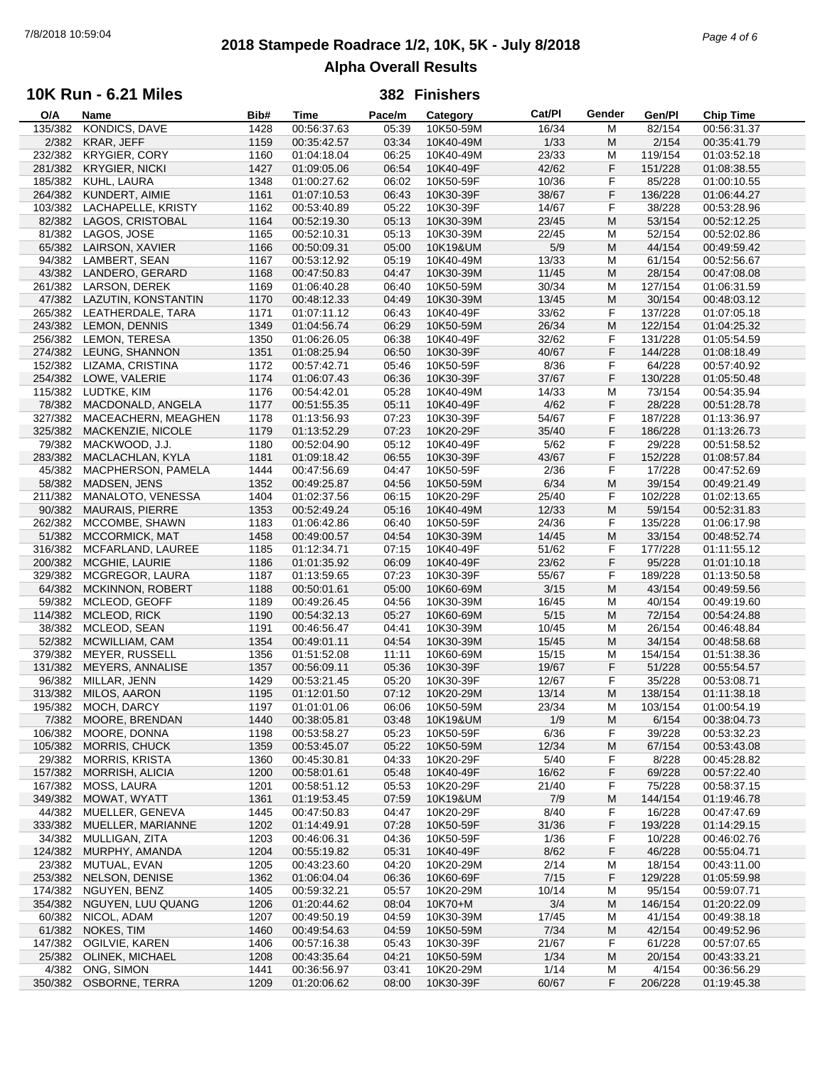# **2018 Stampede Roadrace 1/2, 10K, 5K - July 8/2018** 7/8/2018 10:59:04 *Page 4 of 6* **Alpha Overall Results**

## **10K Run - 6.21 Miles**

| O/A     | Name                    | Bib# | Time        | Pace/m | Category  | Cat/PI | Gender | Gen/Pl  | <b>Chip Time</b> |
|---------|-------------------------|------|-------------|--------|-----------|--------|--------|---------|------------------|
| 135/382 | KONDICS, DAVE           | 1428 | 00:56:37.63 | 05:39  | 10K50-59M | 16/34  | M      | 82/154  | 00:56:31.37      |
| 2/382   | KRAR, JEFF              | 1159 | 00:35:42.57 | 03:34  | 10K40-49M | 1/33   | M      | 2/154   | 00:35:41.79      |
| 232/382 | <b>KRYGIER, CORY</b>    | 1160 | 01:04:18.04 | 06:25  | 10K40-49M | 23/33  | M      | 119/154 | 01:03:52.18      |
| 281/382 | <b>KRYGIER, NICKI</b>   | 1427 | 01:09:05.06 | 06:54  | 10K40-49F | 42/62  | F      | 151/228 | 01:08:38.55      |
|         |                         |      |             |        |           |        |        |         |                  |
| 185/382 | KUHL, LAURA             | 1348 | 01:00:27.62 | 06:02  | 10K50-59F | 10/36  | F      | 85/228  | 01:00:10.55      |
| 264/382 | KUNDERT, AIMIE          | 1161 | 01:07:10.53 | 06:43  | 10K30-39F | 38/67  | F      | 136/228 | 01:06:44.27      |
| 103/382 | LACHAPELLE, KRISTY      | 1162 | 00:53:40.89 | 05:22  | 10K30-39F | 14/67  | F      | 38/228  | 00:53:28.96      |
| 82/382  | LAGOS, CRISTOBAL        | 1164 | 00:52:19.30 | 05:13  | 10K30-39M | 23/45  | M      | 53/154  | 00:52:12.25      |
| 81/382  | LAGOS, JOSE             | 1165 | 00:52:10.31 | 05:13  | 10K30-39M | 22/45  | M      | 52/154  | 00:52:02.86      |
| 65/382  | LAIRSON, XAVIER         | 1166 | 00:50:09.31 | 05:00  | 10K19&UM  | 5/9    | M      | 44/154  | 00:49:59.42      |
|         |                         |      |             |        |           |        |        |         |                  |
| 94/382  | LAMBERT, SEAN           | 1167 | 00:53:12.92 | 05:19  | 10K40-49M | 13/33  | M      | 61/154  | 00:52:56.67      |
| 43/382  | LANDERO, GERARD         | 1168 | 00:47:50.83 | 04:47  | 10K30-39M | 11/45  | M      | 28/154  | 00:47:08.08      |
| 261/382 | LARSON, DEREK           | 1169 | 01:06:40.28 | 06:40  | 10K50-59M | 30/34  | M      | 127/154 | 01:06:31.59      |
| 47/382  | LAZUTIN, KONSTANTIN     | 1170 | 00:48:12.33 | 04:49  | 10K30-39M | 13/45  | M      | 30/154  | 00:48:03.12      |
| 265/382 | LEATHERDALE, TARA       | 1171 | 01:07:11.12 | 06:43  | 10K40-49F | 33/62  | F      | 137/228 | 01:07:05.18      |
| 243/382 | LEMON, DENNIS           | 1349 | 01:04:56.74 | 06:29  | 10K50-59M | 26/34  | M      | 122/154 | 01:04:25.32      |
| 256/382 | <b>LEMON, TERESA</b>    | 1350 | 01:06:26.05 | 06:38  | 10K40-49F | 32/62  | F      | 131/228 | 01:05:54.59      |
|         |                         |      |             |        |           |        |        |         |                  |
| 274/382 | LEUNG, SHANNON          | 1351 | 01:08:25.94 | 06:50  | 10K30-39F | 40/67  | F      | 144/228 | 01:08:18.49      |
| 152/382 | LIZAMA, CRISTINA        | 1172 | 00:57:42.71 | 05:46  | 10K50-59F | 8/36   | F      | 64/228  | 00:57:40.92      |
| 254/382 | LOWE, VALERIE           | 1174 | 01:06:07.43 | 06:36  | 10K30-39F | 37/67  | F      | 130/228 | 01:05:50.48      |
| 115/382 | LUDTKE, KIM             | 1176 | 00:54:42.01 | 05:28  | 10K40-49M | 14/33  | M      | 73/154  | 00:54:35.94      |
| 78/382  | MACDONALD, ANGELA       | 1177 | 00:51:55.35 | 05:11  | 10K40-49F | 4/62   | F      | 28/228  | 00:51:28.78      |
| 327/382 | MACEACHERN, MEAGHEN     | 1178 | 01:13:56.93 | 07:23  | 10K30-39F | 54/67  | F      | 187/228 | 01:13:36.97      |
|         |                         |      |             |        |           |        |        |         |                  |
| 325/382 | MACKENZIE, NICOLE       | 1179 | 01:13:52.29 | 07:23  | 10K20-29F | 35/40  | F      | 186/228 | 01:13:26.73      |
| 79/382  | MACKWOOD, J.J.          | 1180 | 00:52:04.90 | 05:12  | 10K40-49F | 5/62   | F      | 29/228  | 00:51:58.52      |
| 283/382 | MACLACHLAN, KYLA        | 1181 | 01:09:18.42 | 06:55  | 10K30-39F | 43/67  | F      | 152/228 | 01:08:57.84      |
| 45/382  | MACPHERSON, PAMELA      | 1444 | 00:47:56.69 | 04:47  | 10K50-59F | 2/36   | F      | 17/228  | 00:47:52.69      |
| 58/382  | MADSEN, JENS            | 1352 | 00:49:25.87 | 04:56  | 10K50-59M | 6/34   | M      | 39/154  | 00:49:21.49      |
| 211/382 | MANALOTO, VENESSA       | 1404 | 01:02:37.56 | 06:15  | 10K20-29F | 25/40  | F      | 102/228 | 01:02:13.65      |
|         |                         |      |             |        |           |        |        |         |                  |
| 90/382  | <b>MAURAIS, PIERRE</b>  | 1353 | 00:52:49.24 | 05:16  | 10K40-49M | 12/33  | M      | 59/154  | 00:52:31.83      |
| 262/382 | MCCOMBE, SHAWN          | 1183 | 01:06:42.86 | 06:40  | 10K50-59F | 24/36  | F      | 135/228 | 01:06:17.98      |
| 51/382  | MCCORMICK, MAT          | 1458 | 00:49:00.57 | 04:54  | 10K30-39M | 14/45  | M      | 33/154  | 00:48:52.74      |
| 316/382 | MCFARLAND, LAUREE       | 1185 | 01:12:34.71 | 07:15  | 10K40-49F | 51/62  | F      | 177/228 | 01:11:55.12      |
| 200/382 | MCGHIE, LAURIE          | 1186 | 01:01:35.92 | 06:09  | 10K40-49F | 23/62  | F      | 95/228  | 01:01:10.18      |
| 329/382 | MCGREGOR, LAURA         | 1187 | 01:13:59.65 | 07:23  | 10K30-39F | 55/67  | F      | 189/228 | 01:13:50.58      |
|         |                         |      |             |        |           |        |        |         |                  |
| 64/382  | <b>MCKINNON, ROBERT</b> | 1188 | 00:50:01.61 | 05:00  | 10K60-69M | 3/15   | M      | 43/154  | 00:49:59.56      |
| 59/382  | MCLEOD, GEOFF           | 1189 | 00:49:26.45 | 04:56  | 10K30-39M | 16/45  | М      | 40/154  | 00:49:19.60      |
| 114/382 | MCLEOD, RICK            | 1190 | 00:54:32.13 | 05:27  | 10K60-69M | 5/15   | M      | 72/154  | 00:54:24.88      |
| 38/382  | MCLEOD, SEAN            | 1191 | 00:46:56.47 | 04:41  | 10K30-39M | 10/45  | M      | 26/154  | 00:46:48.84      |
| 52/382  | MCWILLIAM, CAM          | 1354 | 00:49:01.11 | 04:54  | 10K30-39M | 15/45  | M      | 34/154  | 00:48:58.68      |
| 379/382 | <b>MEYER, RUSSELL</b>   | 1356 | 01:51:52.08 | 11:11  | 10K60-69M | 15/15  | M      | 154/154 | 01:51:38.36      |
| 131/382 | MEYERS, ANNALISE        | 1357 | 00:56:09.11 | 05:36  | 10K30-39F | 19/67  | F      | 51/228  | 00:55:54.57      |
|         |                         |      |             |        |           |        |        |         |                  |
| 96/382  | MILLAR, JENN            | 1429 | 00:53:21.45 | 05:20  | 10K30-39F | 12/67  | F      | 35/228  | 00:53:08.71      |
| 313/382 | MILOS, AARON            | 1195 | 01:12:01.50 | 07:12  | 10K20-29M | 13/14  | M      | 138/154 | 01:11:38.18      |
| 195/382 | MOCH, DARCY             | 1197 | 01:01:01.06 | 06:06  | 10K50-59M | 23/34  | M      | 103/154 | 01:00:54.19      |
| 7/382   | MOORE, BRENDAN          | 1440 | 00:38:05.81 | 03:48  | 10K19&UM  | 1/9    | M      | 6/154   | 00:38:04.73      |
| 106/382 | MOORE, DONNA            | 1198 | 00:53:58.27 | 05:23  | 10K50-59F | 6/36   | F      | 39/228  | 00:53:32.23      |
| 105/382 | MORRIS, CHUCK           | 1359 | 00:53:45.07 | 05:22  | 10K50-59M | 12/34  | M      | 67/154  | 00:53:43.08      |
|         |                         |      |             |        |           |        |        |         |                  |
| 29/382  | <b>MORRIS, KRISTA</b>   | 1360 | 00:45:30.81 | 04:33  | 10K20-29F | 5/40   | F      | 8/228   | 00:45:28.82      |
| 157/382 | <b>MORRISH, ALICIA</b>  | 1200 | 00:58:01.61 | 05:48  | 10K40-49F | 16/62  | F      | 69/228  | 00:57:22.40      |
| 167/382 | MOSS, LAURA             | 1201 | 00:58:51.12 | 05:53  | 10K20-29F | 21/40  | F      | 75/228  | 00:58:37.15      |
| 349/382 | MOWAT, WYATT            | 1361 | 01:19:53.45 | 07:59  | 10K19&UM  | 7/9    | M      | 144/154 | 01:19:46.78      |
| 44/382  | MUELLER, GENEVA         | 1445 | 00:47:50.83 | 04:47  | 10K20-29F | 8/40   | F      | 16/228  | 00:47:47.69      |
| 333/382 | MUELLER, MARIANNE       | 1202 | 01:14:49.91 | 07:28  | 10K50-59F | 31/36  | F      | 193/228 | 01:14:29.15      |
|         |                         |      |             |        |           |        |        |         |                  |
| 34/382  | MULLIGAN, ZITA          | 1203 | 00:46:06.31 | 04:36  | 10K50-59F | 1/36   | F      | 10/228  | 00:46:02.76      |
| 124/382 | MURPHY, AMANDA          | 1204 | 00:55:19.82 | 05:31  | 10K40-49F | 8/62   | F      | 46/228  | 00:55:04.71      |
| 23/382  | MUTUAL, EVAN            | 1205 | 00:43:23.60 | 04:20  | 10K20-29M | 2/14   | M      | 18/154  | 00:43:11.00      |
| 253/382 | NELSON, DENISE          | 1362 | 01:06:04.04 | 06:36  | 10K60-69F | 7/15   | F      | 129/228 | 01:05:59.98      |
| 174/382 | NGUYEN, BENZ            | 1405 | 00:59:32.21 | 05:57  | 10K20-29M | 10/14  | M      | 95/154  | 00:59:07.71      |
| 354/382 | NGUYEN, LUU QUANG       | 1206 | 01:20:44.62 | 08:04  | 10K70+M   | 3/4    | M      | 146/154 | 01:20:22.09      |
| 60/382  | NICOL, ADAM             | 1207 | 00:49:50.19 | 04:59  | 10K30-39M | 17/45  | M      | 41/154  | 00:49:38.18      |
|         |                         |      |             |        |           |        |        |         |                  |
| 61/382  | NOKES, TIM              | 1460 | 00:49:54.63 | 04:59  | 10K50-59M | 7/34   | M      | 42/154  | 00:49:52.96      |
| 147/382 | OGILVIE, KAREN          | 1406 | 00:57:16.38 | 05:43  | 10K30-39F | 21/67  | F      | 61/228  | 00:57:07.65      |
| 25/382  | OLINEK, MICHAEL         | 1208 | 00:43:35.64 | 04:21  | 10K50-59M | 1/34   | M      | 20/154  | 00:43:33.21      |
| 4/382   | ONG, SIMON              | 1441 | 00:36:56.97 | 03:41  | 10K20-29M | 1/14   | M      | 4/154   | 00:36:56.29      |
| 350/382 | OSBORNE, TERRA          | 1209 | 01:20:06.62 | 08:00  | 10K30-39F | 60/67  | F      | 206/228 | 01:19:45.38      |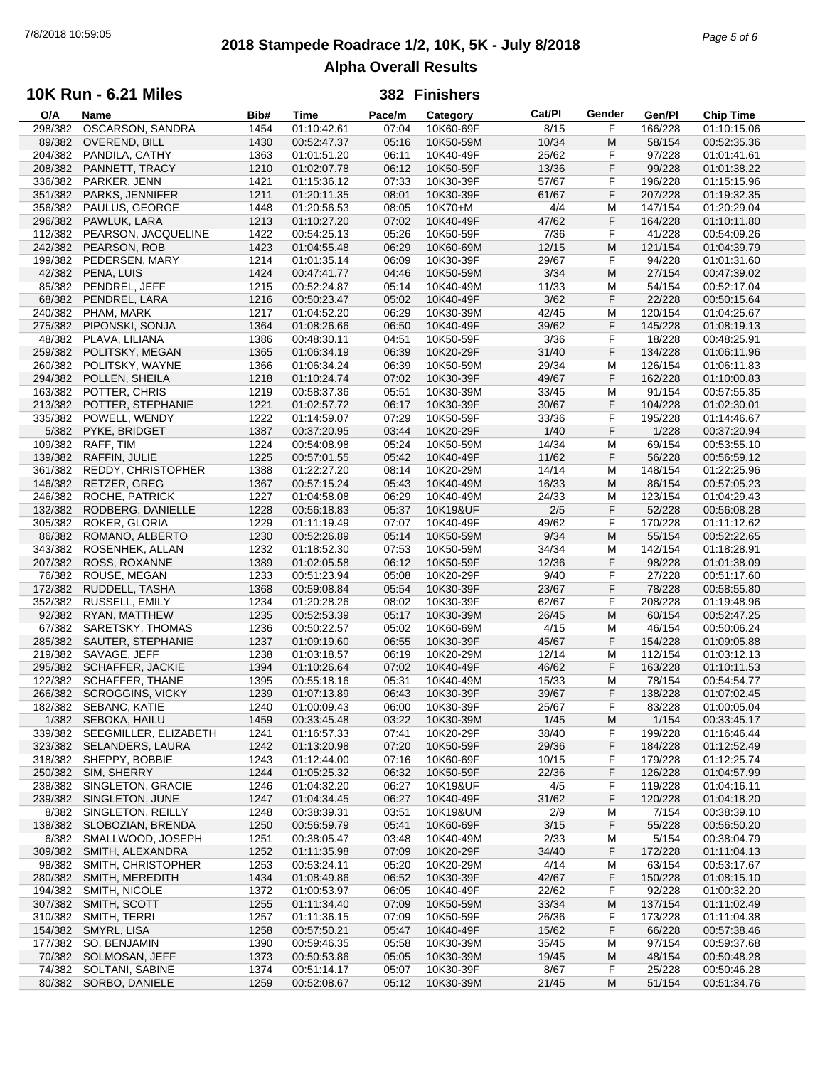# **2018 Stampede Roadrace 1/2, 10K, 5K - July 8/2018** 7/8/2018 10:59:05 *Page 5 of 6* **Alpha Overall Results**

## **10K Run - 6.21 Miles**

| O/A     | Name                    | Bib# | Time        | Pace/m | Category  | Cat/Pl | Gender | Gen/Pl  | <b>Chip Time</b> |  |
|---------|-------------------------|------|-------------|--------|-----------|--------|--------|---------|------------------|--|
| 298/382 | OSCARSON, SANDRA        | 1454 | 01:10:42.61 | 07:04  | 10K60-69F | 8/15   | F      | 166/228 | 01:10:15.06      |  |
| 89/382  | <b>OVEREND, BILL</b>    | 1430 | 00:52:47.37 | 05:16  | 10K50-59M | 10/34  | M      | 58/154  | 00:52:35.36      |  |
| 204/382 | PANDILA, CATHY          | 1363 | 01:01:51.20 | 06:11  | 10K40-49F | 25/62  | F      | 97/228  | 01:01:41.61      |  |
|         |                         |      |             |        |           |        |        |         |                  |  |
| 208/382 | PANNETT, TRACY          | 1210 | 01:02:07.78 | 06:12  | 10K50-59F | 13/36  | F      | 99/228  | 01:01:38.22      |  |
| 336/382 | PARKER, JENN            | 1421 | 01:15:36.12 | 07:33  | 10K30-39F | 57/67  | F      | 196/228 | 01:15:15.96      |  |
| 351/382 | PARKS, JENNIFER         | 1211 | 01:20:11.35 | 08:01  | 10K30-39F | 61/67  | F      | 207/228 | 01:19:32.35      |  |
| 356/382 | PAULUS, GEORGE          | 1448 | 01:20:56.53 | 08:05  | 10K70+M   | 4/4    | M      | 147/154 | 01:20:29.04      |  |
| 296/382 | PAWLUK, LARA            | 1213 | 01:10:27.20 | 07:02  | 10K40-49F | 47/62  | F      | 164/228 | 01:10:11.80      |  |
| 112/382 | PEARSON, JACQUELINE     | 1422 | 00:54:25.13 | 05:26  | 10K50-59F | 7/36   | F      | 41/228  | 00:54:09.26      |  |
|         |                         |      |             |        |           |        |        |         |                  |  |
| 242/382 | PEARSON, ROB            | 1423 | 01:04:55.48 | 06:29  | 10K60-69M | 12/15  | M      | 121/154 | 01:04:39.79      |  |
| 199/382 | PEDERSEN, MARY          | 1214 | 01:01:35.14 | 06:09  | 10K30-39F | 29/67  | F      | 94/228  | 01:01:31.60      |  |
| 42/382  | PENA, LUIS              | 1424 | 00:47:41.77 | 04:46  | 10K50-59M | 3/34   | M      | 27/154  | 00:47:39.02      |  |
| 85/382  | PENDREL, JEFF           | 1215 | 00:52:24.87 | 05:14  | 10K40-49M | 11/33  | M      | 54/154  | 00:52:17.04      |  |
| 68/382  | PENDREL, LARA           | 1216 | 00:50:23.47 | 05:02  | 10K40-49F | 3/62   | F      | 22/228  | 00:50:15.64      |  |
|         |                         |      |             |        |           |        | M      |         |                  |  |
| 240/382 | PHAM, MARK              | 1217 | 01:04:52.20 | 06:29  | 10K30-39M | 42/45  |        | 120/154 | 01:04:25.67      |  |
| 275/382 | PIPONSKI, SONJA         | 1364 | 01:08:26.66 | 06:50  | 10K40-49F | 39/62  | F      | 145/228 | 01:08:19.13      |  |
| 48/382  | PLAVA, LILIANA          | 1386 | 00:48:30.11 | 04:51  | 10K50-59F | 3/36   | F      | 18/228  | 00:48:25.91      |  |
| 259/382 | POLITSKY, MEGAN         | 1365 | 01:06:34.19 | 06:39  | 10K20-29F | 31/40  | F      | 134/228 | 01:06:11.96      |  |
| 260/382 | POLITSKY, WAYNE         | 1366 | 01:06:34.24 | 06:39  | 10K50-59M | 29/34  | M      | 126/154 | 01:06:11.83      |  |
| 294/382 | POLLEN, SHEILA          | 1218 | 01:10:24.74 | 07:02  | 10K30-39F | 49/67  | F      | 162/228 | 01:10:00.83      |  |
|         |                         |      |             |        |           |        |        |         |                  |  |
| 163/382 | POTTER, CHRIS           | 1219 | 00:58:37.36 | 05:51  | 10K30-39M | 33/45  | M      | 91/154  | 00:57:55.35      |  |
| 213/382 | POTTER, STEPHANIE       | 1221 | 01:02:57.72 | 06:17  | 10K30-39F | 30/67  | F      | 104/228 | 01:02:30.01      |  |
| 335/382 | POWELL, WENDY           | 1222 | 01:14:59.07 | 07:29  | 10K50-59F | 33/36  | F      | 195/228 | 01:14:46.67      |  |
| 5/382   | PYKE, BRIDGET           | 1387 | 00:37:20.95 | 03:44  | 10K20-29F | 1/40   | F      | 1/228   | 00:37:20.94      |  |
| 109/382 | RAFF, TIM               | 1224 | 00:54:08.98 | 05:24  | 10K50-59M | 14/34  | M      | 69/154  | 00:53:55.10      |  |
|         | RAFFIN, JULIE           |      |             |        |           |        | F      |         | 00:56:59.12      |  |
| 139/382 |                         | 1225 | 00:57:01.55 | 05:42  | 10K40-49F | 11/62  |        | 56/228  |                  |  |
| 361/382 | REDDY, CHRISTOPHER      | 1388 | 01:22:27.20 | 08:14  | 10K20-29M | 14/14  | M      | 148/154 | 01:22:25.96      |  |
| 146/382 | RETZER, GREG            | 1367 | 00:57:15.24 | 05:43  | 10K40-49M | 16/33  | M      | 86/154  | 00:57:05.23      |  |
| 246/382 | ROCHE, PATRICK          | 1227 | 01:04:58.08 | 06:29  | 10K40-49M | 24/33  | M      | 123/154 | 01:04:29.43      |  |
| 132/382 | RODBERG, DANIELLE       | 1228 | 00:56:18.83 | 05:37  | 10K19&UF  | 2/5    | F      | 52/228  | 00:56:08.28      |  |
| 305/382 | ROKER, GLORIA           | 1229 | 01:11:19.49 | 07:07  | 10K40-49F | 49/62  | F      | 170/228 | 01:11:12.62      |  |
|         |                         |      |             | 05:14  |           |        | M      |         |                  |  |
| 86/382  | ROMANO, ALBERTO         | 1230 | 00:52:26.89 |        | 10K50-59M | 9/34   |        | 55/154  | 00:52:22.65      |  |
| 343/382 | ROSENHEK, ALLAN         | 1232 | 01:18:52.30 | 07:53  | 10K50-59M | 34/34  | M      | 142/154 | 01:18:28.91      |  |
| 207/382 | ROSS, ROXANNE           | 1389 | 01:02:05.58 | 06:12  | 10K50-59F | 12/36  | F      | 98/228  | 01:01:38.09      |  |
| 76/382  | ROUSE, MEGAN            | 1233 | 00:51:23.94 | 05:08  | 10K20-29F | 9/40   | F      | 27/228  | 00:51:17.60      |  |
| 172/382 | RUDDELL, TASHA          | 1368 | 00:59:08.84 | 05:54  | 10K30-39F | 23/67  | F      | 78/228  | 00:58:55.80      |  |
| 352/382 | RUSSELL, EMILY          | 1234 | 01:20:28.26 | 08:02  | 10K30-39F | 62/67  | F      | 208/228 | 01:19:48.96      |  |
|         |                         |      |             |        |           |        | M      |         |                  |  |
| 92/382  | RYAN, MATTHEW           | 1235 | 00:52:53.39 | 05:17  | 10K30-39M | 26/45  |        | 60/154  | 00:52:47.25      |  |
| 67/382  | SARETSKY, THOMAS        | 1236 | 00:50:22.57 | 05:02  | 10K60-69M | 4/15   | M      | 46/154  | 00:50:06.24      |  |
| 285/382 | SAUTER, STEPHANIE       | 1237 | 01:09:19.60 | 06:55  | 10K30-39F | 45/67  | F      | 154/228 | 01:09:05.88      |  |
| 219/382 | SAVAGE, JEFF            | 1238 | 01:03:18.57 | 06:19  | 10K20-29M | 12/14  | M      | 112/154 | 01:03:12.13      |  |
| 295/382 | SCHAFFER, JACKIE        | 1394 | 01:10:26.64 | 07:02  | 10K40-49F | 46/62  | F      | 163/228 | 01:10:11.53      |  |
| 122/382 | <b>SCHAFFER, THANE</b>  | 1395 | 00:55:18.16 | 05:31  | 10K40-49M | 15/33  | м      | 78/154  | 00:54:54.77      |  |
|         |                         |      | 01:07:13.89 |        |           |        |        |         | 01:07:02.45      |  |
| 266/382 | <b>SCROGGINS, VICKY</b> | 1239 |             | 06:43  | 10K30-39F | 39/67  | F      | 138/228 |                  |  |
| 182/382 | SEBANC, KATIE           | 1240 | 01:00:09.43 | 06:00  | 10K30-39F | 25/67  | F      | 83/228  | 01:00:05.04      |  |
|         | 1/382 SEBOKA, HAILU     | 1459 | 00:33:45.48 | 03:22  | 10K30-39M | 1/45   | M      | 1/154   | 00:33:45.17      |  |
| 339/382 | SEEGMILLER, ELIZABETH   | 1241 | 01:16:57.33 | 07:41  | 10K20-29F | 38/40  | F      | 199/228 | 01:16:46.44      |  |
| 323/382 | <b>SELANDERS, LAURA</b> | 1242 | 01:13:20.98 | 07:20  | 10K50-59F | 29/36  | F      | 184/228 | 01:12:52.49      |  |
| 318/382 | SHEPPY, BOBBIE          | 1243 | 01:12:44.00 | 07:16  | 10K60-69F | 10/15  | F      | 179/228 | 01:12:25.74      |  |
|         | SIM, SHERRY             |      |             |        | 10K50-59F |        |        | 126/228 |                  |  |
| 250/382 |                         | 1244 | 01:05:25.32 | 06:32  |           | 22/36  | F      |         | 01:04:57.99      |  |
| 238/382 | SINGLETON, GRACIE       | 1246 | 01:04:32.20 | 06:27  | 10K19&UF  | 4/5    | F      | 119/228 | 01:04:16.11      |  |
| 239/382 | SINGLETON, JUNE         | 1247 | 01:04:34.45 | 06:27  | 10K40-49F | 31/62  | F      | 120/228 | 01:04:18.20      |  |
| 8/382   | SINGLETON, REILLY       | 1248 | 00:38:39.31 | 03:51  | 10K19&UM  | 2/9    | м      | 7/154   | 00:38:39.10      |  |
| 138/382 | SLOBOZIAN, BRENDA       | 1250 | 00:56:59.79 | 05:41  | 10K60-69F | 3/15   | F      | 55/228  | 00:56:50.20      |  |
| 6/382   | SMALLWOOD, JOSEPH       | 1251 | 00:38:05.47 | 03:48  | 10K40-49M | 2/33   | M      | 5/154   | 00:38:04.79      |  |
|         |                         |      |             |        |           |        |        |         |                  |  |
| 309/382 | SMITH, ALEXANDRA        | 1252 | 01:11:35.98 | 07:09  | 10K20-29F | 34/40  | F      | 172/228 | 01:11:04.13      |  |
| 98/382  | SMITH, CHRISTOPHER      | 1253 | 00:53:24.11 | 05:20  | 10K20-29M | 4/14   | M      | 63/154  | 00:53:17.67      |  |
| 280/382 | SMITH, MEREDITH         | 1434 | 01:08:49.86 | 06:52  | 10K30-39F | 42/67  | F      | 150/228 | 01:08:15.10      |  |
| 194/382 | SMITH, NICOLE           | 1372 | 01:00:53.97 | 06:05  | 10K40-49F | 22/62  | F      | 92/228  | 01:00:32.20      |  |
| 307/382 | SMITH, SCOTT            | 1255 | 01:11:34.40 | 07:09  | 10K50-59M | 33/34  | M      | 137/154 | 01:11:02.49      |  |
| 310/382 | SMITH, TERRI            | 1257 | 01:11:36.15 | 07:09  | 10K50-59F | 26/36  | F      | 173/228 | 01:11:04.38      |  |
|         |                         |      |             |        |           |        |        |         |                  |  |
| 154/382 | SMYRL, LISA             | 1258 | 00:57:50.21 | 05:47  | 10K40-49F | 15/62  | F      | 66/228  | 00:57:38.46      |  |
| 177/382 | SO, BENJAMIN            | 1390 | 00:59:46.35 | 05:58  | 10K30-39M | 35/45  | M      | 97/154  | 00:59:37.68      |  |
| 70/382  | SOLMOSAN, JEFF          | 1373 | 00:50:53.86 | 05:05  | 10K30-39M | 19/45  | M      | 48/154  | 00:50:48.28      |  |
| 74/382  | SOLTANI, SABINE         | 1374 | 00:51:14.17 | 05:07  | 10K30-39F | 8/67   | F      | 25/228  | 00:50:46.28      |  |
|         | 80/382 SORBO, DANIELE   | 1259 | 00:52:08.67 | 05:12  | 10K30-39M | 21/45  | M      | 51/154  | 00:51:34.76      |  |
|         |                         |      |             |        |           |        |        |         |                  |  |